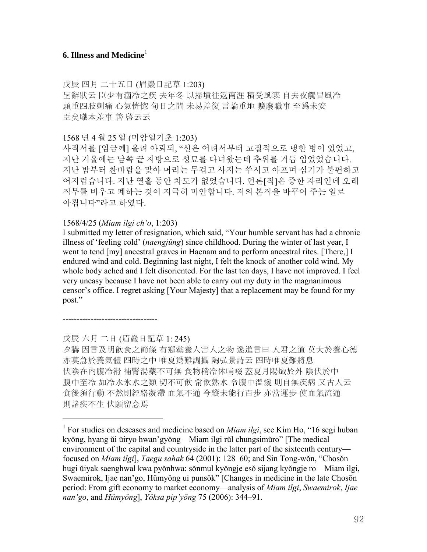# **6. Illness and Medicine**<sup>1</sup>

戊辰 四月 二十五日 (眉巖日記草 1:203)

呈辭狀云 臣少有痼冷之疾 去年冬 以掃墳往返南涯 積受風寒 自去夜觸冒風冷 頭重四肢刺痛 心氣恍惚 旬日之間 未易差復 言論重地 曠廢職事 至爲未安 臣矣職本差事 善 啓云云

1568 년 4 월 25 일 (미암일기초 1:203)

사직서를 [임금께] 올려 아뢰되, "신은 어려서부터 고질적으로 냉한 병이 있었고, 지난 겨울에는 남쪽 끝 지방으로 성묘를 다녀왔는데 추위를 거듭 입었었습니다. 지난 밤부터 찬바람을 맞아 머리는 무겁고 사지는 쑤시고 아프며 심기가 불편하고 어지럽습니다. 지난 열흘 동안 차도가 없었습니다. 언론[직]은 중한 자리인데 오래 직무를 비우고 폐하는 것이 지극히 미안합니다. 저의 본직을 바꾸어 주는 일로 아룁니다"라고 하였다.

#### 1568/4/25 (*Miam ilgi ch'o*, 1:203)

I submitted my letter of resignation, which said, "Your humble servant has had a chronic illness of 'feeling cold' (*naengjŭng*) since childhood. During the winter of last year, I went to tend [my] ancestral graves in Haenam and to perform ancestral rites. [There,] I endured wind and cold. Beginning last night, I felt the knock of another cold wind. My whole body ached and I felt disoriented. For the last ten days, I have not improved. I feel very uneasy because I have not been able to carry out my duty in the magnanimous censor's office. I regret asking [Your Majesty] that a replacement may be found for my post."

----------------------------------

 $\overline{a}$ 

戊辰 六月 二日 (眉巖日記草 1: 245)

夕講 因言及明飮食之節條 有鄕黨養人害人之物 遂進言曰 人君之道 莫大於養心德 亦莫急於養氣體 四時之中 唯夏爲難調攝 陶弘景詩云 四時唯夏難將息 伏陰在內腹冷滑 補腎湯藥不可無 食物稍冷休哺啜 蓋夏月陽熾於外 陰伏於中 腹中至冷 如冷水氷水之類 切不可飮 常飮熟水 令腹中溫煖 則自無疾病 又古人云 食後須行動 不然則經絡凝滯 血氣不通 今縱未能行百步 亦當運步 使血氣流通 則諸疾不生 伏願留念焉

<sup>&</sup>lt;sup>1</sup> For studies on deseases and medicine based on *Miam ilgi*, see Kim Ho, "16 segi huban kyŏng, hyang ŭi ŭiryo hwan'gyŏng—Miam ilgi rŭl chungsimŭro" [The medical environment of the capital and countryside in the latter part of the sixteenth century focused on *Miam ilgi*], *Taegu sahak* 64 (2001): 128–60; and Sin Tong-wŏn, "Chosŏn hugi ŭiyak saenghwal kwa pyŏnhwa: sŏnmul kyŏngje esŏ sijang kyŏngje ro—Miam ilgi, Swaemirok, Ijae nan'go, Hŭmyŏng ui punsŏk" [Changes in medicine in the late Chosŏn period: From gift economy to market economy—analysis of *Miam ilgi*, *Swaemirok*, *Ijae nan'go*, and *Hŭmyŏng*], *Yŏksa pip'yŏng* 75 (2006): 344–91.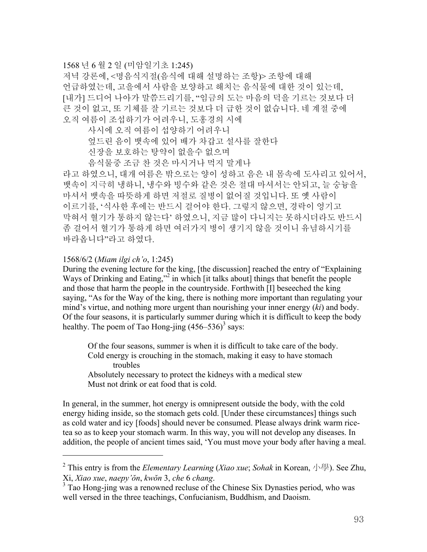### 1568 년 6 월 2 일 (미암일기초 1:245)

저녁 강론에, <명음식지절(음식에 대해 설명하는 조항)> 조항에 대해 언급하였는데, 고을에서 사람을 보양하고 해치는 음식물에 대한 것이 있는데, [내가] 드디어 나아가 말씀드리기를, "임금의 도는 마음의 덕을 기르는 것보다 더 큰 것이 없고, 또 기체를 잘 기르는 것보다 더 급한 것이 없습니다. 네 계절 중에 오직 여름이 조섭하기가 어려우니, 도홍경의 시에

- 사시에 오직 여름이 섭양하기 어려우니
- 엎드린 음이 뱃속에 있어 배가 차갑고 설사를 잘한다
- 신장을 보호하는 탕약이 없을수 없으며
- 음식물중 조금 찬 것은 마시거나 먹지 말게나

라고 하였으니, 대개 여름은 밖으로는 양이 성하고 음은 내 몸속에 도사리고 있어서, 뱃속이 지극히 냉하니, 냉수와 빙수와 같은 것은 절대 마셔서는 안되고, 늘 숭늉을 마셔서 뱃속을 따뜻하게 하면 저절로 질병이 없어질 것입니다. 또 옛 사람이 이르기를, '식사한 후에는 반드시 걸어야 한다. 그렇지 않으면, 경락이 엉기고 막혀서 혈기가 통하지 않는다' 하였으니, 지금 많이 다니지는 못하시더라도 반드시 좀 걸어서 혈기가 통하게 하면 여러가지 병이 생기지 않을 것이니 유념하시기를 바라옵니다"라고 하였다.

#### 1568/6/2 (*Miam ilgi ch'o*, 1:245)

l

During the evening lecture for the king, [the discussion] reached the entry of "Explaining Ways of Drinking and Eating,"<sup>2</sup> in which [it talks about] things that benefit the people and those that harm the people in the countryside. Forthwith [I] beseeched the king saying, "As for the Way of the king, there is nothing more important than regulating your mind's virtue, and nothing more urgent than nourishing your inner energy (*ki*) and body. Of the four seasons, it is particularly summer during which it is difficult to keep the body healthy. The poem of Tao Hong-jing  $(456-536)^3$  says:

Of the four seasons, summer is when it is difficult to take care of the body. Cold energy is crouching in the stomach, making it easy to have stomach troubles

Absolutely necessary to protect the kidneys with a medical stew Must not drink or eat food that is cold.

In general, in the summer, hot energy is omnipresent outside the body, with the cold energy hiding inside, so the stomach gets cold. [Under these circumstances] things such as cold water and icy [foods] should never be consumed. Please always drink warm ricetea so as to keep your stomach warm. In this way, you will not develop any diseases. In addition, the people of ancient times said, 'You must move your body after having a meal.

<sup>2</sup> This entry is from the *Elementary Learning* (*Xiao xue*; *Sohak* in Korean, 小學). See Zhu, Xi, *Xiao xue*, *naepy'ŏn*, *kwŏn* 3, *che* 6 *chang*. 3

 $3$  Tao Hong-jing was a renowned recluse of the Chinese Six Dynasties period, who was well versed in the three teachings, Confucianism, Buddhism, and Daoism.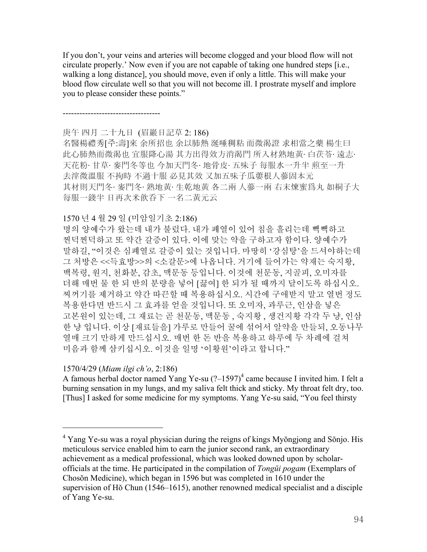If you don't, your veins and arteries will become clogged and your blood flow will not circulate properly.' Now even if you are not capable of taking one hundred steps [i.e., walking a long distance], you should move, even if only a little. This will make your blood flow circulate well so that you will not become ill. I prostrate myself and implore you to please consider these points."

-----------------------------------

#### 庚午 四月 二十九日 (眉巖日記草 2: 186)

名醫楊禮秀[주:壽]來 余所招也 余以肺熱 涎唾稠粘 而微渴證 求相當之藥 楊生曰 此心肺熱而微渴也 宜服降心湯 其方出得效方消渴門 所入材熟地黃· 白茯苓· 遠志· 天花粉· 甘草· 麥門冬等也 今加天門冬· 地骨皮· 五味子 每服水一升半 煎至一升 去滓微溫服 不拘時 不過十服 必見其效 又加五味子瓜蔞根人蔘固本元 其材則天門冬· 麥門冬· 熟地黃· 生乾地黃 各二兩 人蔘一兩 右末煉蜜爲丸 如桐子大 每服一錢半 日再次米飮呑下 一名二黃元云

#### 1570 년 4 월 29 일 (미암일기초 2:186)

명의 양예수가 왔는데 내가 불렀다. 내가 폐열이 있어 침을 흘리는데 빽빽하고 찐덕찐덕하고 또 약간 갈증이 있다. 이에 맞는 약을 구하고자 함이다. 양예수가 말하길, "이것은 심폐열로 갈증이 있는 것입니다. 마땅히 '강심탕'을 드셔야하는데 그 처방은 <<득효방>>의 <소갈문>에 나옵니다. 거기에 들어가는 약재는 숙지황, 백복령, 원지, 천화분, 감초, 맥문동 등입니다. 이것에 천문동, 지골피, 오미자를 더해 매번 물 한 되 반의 분량을 넣어 [끓여] 한 되가 될 때까지 달이도록 하십시오. 찌꺼기를 제거하고 약간 따끈할 때 복용하십시오. 시간에 구애받지 말고 열번 정도 복용한다면 반드시 그 효과를 얻을 것입니다. 또 오미자, 과루근, 인삼을 넣은 고본원이 있는데, 그 재료는 곧 천문동, 맥문동 , 숙지황 , 생건지황 각각 두 냥, 인삼 한 냥 입니다. 이상 [재료들을] 가루로 만들어 꿀에 섞어서 알약을 만들되, 오동나무 열매 크기 만하게 만드십시오. 매번 한 돈 반을 복용하고 하루에 두 차례에 걸쳐 미음과 함께 삼키십시오. 이것을 일명 '이황원'이라고 합니다."

### 1570/4/29 (*Miam ilgi ch'o*, 2:186)

 $\overline{a}$ 

A famous herbal doctor named Yang Ye-su  $(?) -1597)^4$  came because I invited him. I felt a burning sensation in my lungs, and my saliva felt thick and sticky. My throat felt dry, too. [Thus] I asked for some medicine for my symptoms. Yang Ye-su said, "You feel thirsty

<sup>&</sup>lt;sup>4</sup> Yang Ye-su was a royal physician during the reigns of kings Myŏngjong and Sŏnjo. His meticulous service enabled him to earn the junior second rank, an extraordinary achievement as a medical professional, which was looked downed upon by scholarofficials at the time. He participated in the compilation of *Tongŭi pogam* (Exemplars of Chosŏn Medicine), which began in 1596 but was completed in 1610 under the supervision of Hŏ Chun (1546–1615), another renowned medical specialist and a disciple of Yang Ye-su.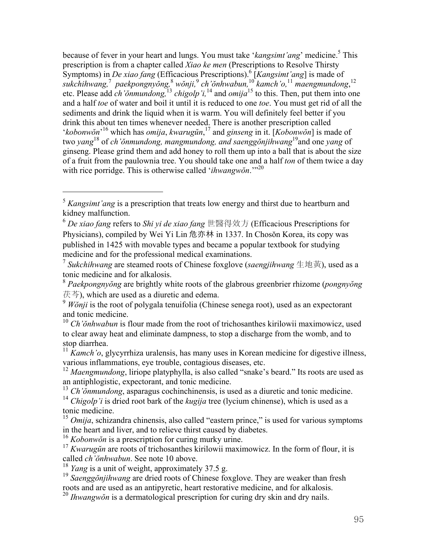because of fever in your heart and lungs. You must take '*kangsimt'ang*' medicine.<sup>5</sup> This prescription is from a chapter called *Xiao ke men* (Prescriptions to Resolve Thirsty Symptoms) in *De xiao fang* (Efficacious Prescriptions).<sup>6</sup> [*Kangsimt'ang*] is made of *sukchihwang,*<sup>7</sup> *paekpongnyŏng,* 8  *wŏnji,*<sup>9</sup> *ch'ŏnhwabun,*<sup>10</sup> *kamch'o,*<sup>11</sup> *maengmundong*, 12 etc. Please add *ch'ŏnmundong,*<sup>13</sup> *chigolp'i,*<sup>14</sup> and *omija*15 to this. Then, put them into one and a half *toe* of water and boil it until it is reduced to one *toe*. You must get rid of all the sediments and drink the liquid when it is warm. You will definitely feel better if you drink this about ten times whenever needed. There is another prescription called '*kobonwŏn*' 16 which has *omija*, *kwarugŭn*, 17 and *ginseng* in it. [*Kobonwŏn*] is made of two *yang* 18 of *ch'ŏnmundong, mangmundong, and saenggŏnjihwang*19and one *yang* of ginseng. Please grind them and add honey to roll them up into a ball that is about the size of a fruit from the paulownia tree. You should take one and a half *ton* of them twice a day with rice porridge. This is otherwise called '*ihwangwŏn*.'"<sup>20</sup>

l

<sup>&</sup>lt;sup>5</sup> *Kangsimt'ang* is a prescription that treats low energy and thirst due to heartburn and kidney malfunction.

<sup>6</sup> *De xiao fang* refers to *Shi yi de xiao fang* 世醫得效方 (Efficacious Prescriptions for Physicians), compiled by Wei Yi Lin 危亦林 in 1337. In Chosŏn Korea, its copy was published in 1425 with movable types and became a popular textbook for studying medicine and for the professional medical examinations.

<sup>7</sup> *Sukchihwang* are steamed roots of Chinese foxglove (*saengjihwang* 生地黃), used as a tonic medicine and for alkalosis.

<sup>8</sup> *Paekpongnyŏng* are brightly white roots of the glabrous greenbrier rhizome (*pongnyŏng* 茯芩), which are used as a diuretic and edema.

<sup>&</sup>lt;sup>9</sup> *Wŏnji* is the root of polygala tenuifolia (Chinese senega root), used as an expectorant and tonic medicine.

<sup>10</sup> *Ch'ŏnhwabun* is flour made from the root of trichosanthes kirilowii maximowicz, used to clear away heat and eliminate dampness, to stop a discharge from the womb, and to stop diarrhea.

<sup>&</sup>lt;sup>11</sup> *Kamch'o*, glycyrrhiza uralensis, has many uses in Korean medicine for digestive illness, various inflammations, eye trouble, contagious diseases, etc.

<sup>&</sup>lt;sup>12</sup> *Maengmundong*, liriope platyphylla, is also called "snake's beard." Its roots are used as an antiphlogistic, expectorant, and tonic medicine.

<sup>13</sup> *Ch'ŏnmundong*, asparagus cochinchinensis, is used as a diuretic and tonic medicine.

<sup>14</sup> *Chigolp'i* is dried root bark of the *kugija* tree (lycium chinense), which is used as a tonic medicine.

<sup>&</sup>lt;sup>15</sup> *Omija*, schizandra chinensis, also called "eastern prince," is used for various symptoms in the heart and liver, and to relieve thirst caused by diabetes.

<sup>16</sup> *Kobonwŏn* is a prescription for curing murky urine.

<sup>&</sup>lt;sup>17</sup> *Kwarugun* are roots of trichosanthes kirilowii maximowicz. In the form of flour, it is called *ch'ŏnhwabun*. See note 10 above.

<sup>18</sup> *Yang* is a unit of weight, approximately 37.5 g.

<sup>&</sup>lt;sup>19</sup> *Saenggŏnjihwang* are dried roots of Chinese foxglove. They are weaker than fresh roots and are used as an antipyretic, heart restorative medicine, and for alkalosis.

<sup>20</sup> *Ihwangwŏn* is a dermatological prescription for curing dry skin and dry nails.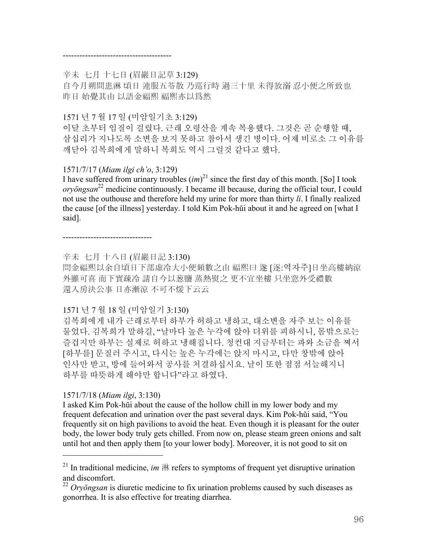#### ---------------------------------------

#### 辛未 七月 十七日 (眉巖日記草 3:129)

自今月朔間患淋 頃日 連服五苓散 乃巡行時 過三十里 未得放溺 忍小便之所致也 昨日 始覺其由 以語金福熙 福熙亦以爲然

### 1571 년 7 월 17 일 (미암일기초 3:129)

이달 초부터 임질이 걸렸다. 근래 오령산을 계속 복용했다. 그것은 곧 순행할 때, 삼십리가 지나도록 소변을 보지 못하고 참아서 생긴 병이다. 어제 비로소 그 이유를 깨닫아 김복희에게 말하니 복희도 역시 그럴것 같다고 했다.

### 1571/7/17 (*Miam ilgi ch'o*, 3:129)

I have suffered from urinary troubles  $(im)^{21}$  since the first day of this month. [So] I took *oryŏngsan* 22 medicine continuously. I became ill because, during the official tour, I could not use the outhouse and therefore held my urine for more than thirty *li*. I finally realized the cause [of the illness] yesterday. I told Kim Pok-hŭi about it and he agreed on [what I said].

--------------------------------

辛未 七月 十八日 (眉巖日記 3:130)

問金福熙以余自頃日下部虛冷大小便頻數之由 福熙曰 遂 [逐:역자주]日坐高樓納涼 外雖可喜 而下實疎冷 請自今以葱鹽 蒸熱熨之 更不宜坐樓 只坐窓外受禮數 還入房決公事 日亦漸涼 不可不煖下云云

### 1571 년 7 월 18 일 (미암일기 3:130)

김복희에게 내가 근래로부터 하부가 허하고 냉하고, 대소변을 자주 보는 이유를 물었다. 김복희가 말하길, "날마다 높은 누각에 앉아 더위를 피하시니, 몸밖으로는 즐겁지만 하부는 실제로 허하고 냉해집니다. 청컨대 지금부터는 파와 소금을 쪄서 [하부를] 문질러 주시고, 다시는 높은 누각에는 앉지 마시고, 다만 창밖에 앉아 인사만 받고, 방에 들어와서 공사를 처결하십시요. 날이 또한 점점 서늘해지니 하부를 따뜻하게 해야만 합니다"라고 하였다.

### 1571/7/18 (*Miam ilgi*, 3:130)

 $\overline{a}$ 

I asked Kim Pok-hŭi about the cause of the hollow chill in my lower body and my frequent defecation and urination over the past several days. Kim Pok-hŭi said, "You frequently sit on high pavilions to avoid the heat. Even though it is pleasant for the outer body, the lower body truly gets chilled. From now on, please steam green onions and salt until hot and then apply them [to your lower body]. Moreover, it is not good to sit on

<sup>&</sup>lt;sup>21</sup> In traditional medicine, *im*  $\frac{1}{2}$  if refers to symptoms of frequent yet disruptive urination and discomfort.

<sup>22</sup> *Oryŏngsan* is diuretic medicine to fix urination problems caused by such diseases as gonorrhea. It is also effective for treating diarrhea.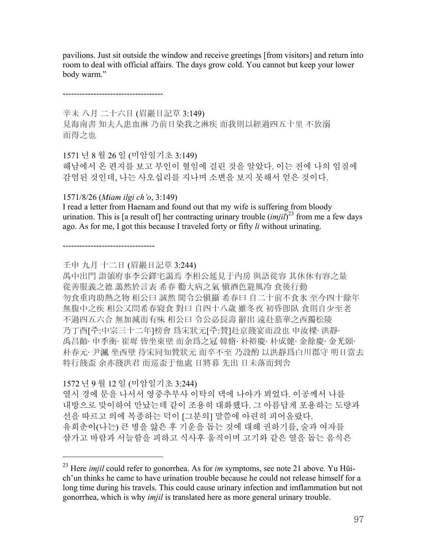pavilions. Just sit outside the window and receive greetings [from visitors] and return into room to deal with official affairs. The days grow cold. You cannot but keep your lower body warm."

------------------------------------

辛未 八月 二十六日 (眉巖日記草 3:149) 見海南書 知夫人患血淋 乃前日染我之淋疾 而我則以經過四五十里 不放溺 而得之也

1571 년 8 월 26 일 (미암일기초 3:149) 해남에서 온 편지를 보고 부인이 혈임에 걸린 것을 알았다. 이는 전에 나의 임질에 감염된 것인데, 나는 사오십리를 지나며 소변을 보지 못해서 얻은 것이다.

1571/8/26 (*Miam ilgi ch'o*, 3:149)

I read a letter from Haenam and found out that my wife is suffering from bloody urination. This is [a result of] her contracting urinary trouble  $(imjil)^{23}$  from me a few days ago. As for me, I got this because I traveled forty or fifty *li* without urinating.

---------------------------------

壬申 九月 十二日 (眉巖日記草 3:244)

禺中出門 詣領府事李公鐸宅謁焉 李相公延見于內房 與語從容 其休休有容之量 從善服義之德 藹然於言表 希春 勸大病之氣 愼酒色避風冷 食後行動 勿食重肉助熱之物 相公曰 誠然 聞令公愼攝 希春曰 自二十前不食氷 至今四十餘年 無腹中之疾 相公又問希春寢食 對曰 自四十八歲 雖冬夜 初昏卽臥 食則自少至老 不過四五六合 無加減而有味 相公曰 令公必長壽 辭出 遠赴慕華之西獨松陵 乃丁酉[주:中宗三十二年]榜會 爲宋狀元[주:贊]赴京餞宴而設也 申汝樑· 洪靜· 禹昌齡· 申季衡· 崔墀 皆坐東壁 而余爲之冠 韓脩· 朴裕慶· 朴成健· 金餘慶· 金光頣· 朴春元· 尹渢 坐西壁 待宋同知贊狀元 而卒不至 乃設酌 以洪靜爲白川郡守 明日當去 特行餞盃 余亦餞洪君 而巡盃于他處 日將暮 先出 日未落而到舍

1572 년 9 월 12 일 (미암일기초 3:244)

l

열시 경에 문을 나서서 영중추부사 이탁의 댁에 나아가 뵈었다. 이공께서 나를 내방으로 맞이하여 만났는데 같이 조용히 대화했다. 그 아름답게 포용하는 도량과 선을 따르고 의에 복종하는 덕이 [그분의] 말씀에 아련히 피어올랐다. 유희춘이(나는) 큰 병을 앓은 후 기운을 돕는 것에 대해 권하기를, 술과 여자를 삼가고 바람과 서늘함을 피하고 식사후 움직이며 고기와 같은 열을 돕는 음식은

<sup>23</sup> Here *imjil* could refer to gonorrhea. As for *im* symptoms, see note 21 above. Yu Hŭich'un thinks he came to have urination trouble because he could not release himself for a long time during his travels. This could cause urinary infection and imflammation but not gonorrhea, which is why *imjil* is translated here as more general urinary trouble.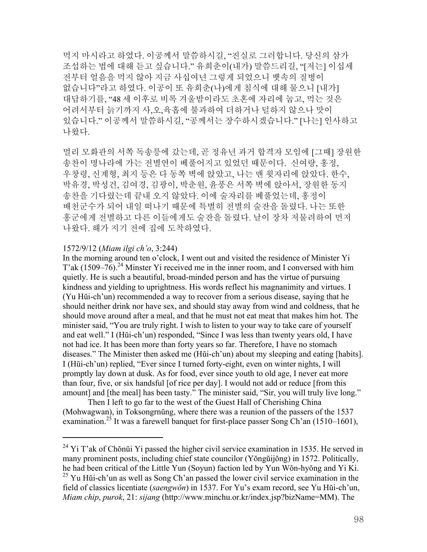먹지 마시라고 하였다. 이공께서 말씀하시길, "진실로 그러합니다. 당신의 삼가 조섭하는 법에 대해 듣고 싶습니다." 유희춘이(내가) 말씀드리길, "[저는] 이십세 전부터 얼음을 먹지 않아 지금 사십여년 그렇게 되었으니 뱃속의 질병이 없습니다"라고 하였다. 이공이 또 유희춘(나)에게 침식에 대해 물으니 [내가] 대답하기를, "48 세 이후로 비록 겨울밤이라도 초혼에 자리에 눕고, 먹는 것은 어려서부터 늙기까지 사,오,육홉에 불과하여 더하거나 덜하지 않으나 맛이 있습니다." 이공께서 말씀하시길, "공께서는 장수하시겠습니다." [나는] 인사하고 나왔다.

멀리 모화관의 서쪽 독송릉에 갔는데, 곧 정유년 과거 합격자 모임에 [그때] 장원한 송찬이 명나라에 가는 전별연이 베풀어지고 있었던 때문이다. 신여량, 홍정, 우창령, 신계형, 최지 등은 다 동쪽 벽에 앉았고, 나는 맨 윗자리에 앉았다. 한수, 박유경, 박성건, 김여경, 김광이, 박춘원, 윤풍은 서쪽 벽에 앉아서, 장원한 동지 송찬을 기다렸는데 끝내 오지 않았다. 이에 술자리를 베풀었는데, 홍정이 배천군수가 되어 내일 떠나기 때문에 특별히 전별의 술잔을 돌렸다. 나는 또한 홍군에게 전별하고 다른 이들에게도 술잔을 돌렸다. 날이 장차 저물려하여 먼저 나왔다. 해가 지기 전에 집에 도착하였다.

#### 1572/9/12 (*Miam ilgi ch'o*, 3:244)

 $\overline{a}$ 

In the morning around ten o'clock, I went out and visited the residence of Minister Yi T'ak  $(1509-76)^{24}$  Minster Yi received me in the inner room, and I conversed with him quietly. He is such a beautiful, broad-minded person and has the virtue of pursuing kindness and yielding to uprightness. His words reflect his magnanimity and virtues. I (Yu Hŭi-ch'un) recommended a way to recover from a serious disease, saying that he should neither drink nor have sex, and should stay away from wind and coldness, that he should move around after a meal, and that he must not eat meat that makes him hot. The minister said, "You are truly right. I wish to listen to your way to take care of yourself and eat well." I (Hŭi-ch'un) responded, "Since I was less than twenty years old, I have not had ice. It has been more than forty years so far. Therefore, I have no stomach diseases." The Minister then asked me (Hŭi-ch'un) about my sleeping and eating [habits]. I (Hŭi-ch'un) replied, "Ever since I turned forty-eight, even on winter nights, I will promptly lay down at dusk. As for food, ever since youth to old age, I never eat more than four, five, or six handsful [of rice per day]. I would not add or reduce [from this amount] and [the meal] has been tasty." The minister said, "Sir, you will truly live long."

Then I left to go far to the west of the Guest Hall of Cherishing China (Mohwagwan), in Toksongrnŭng, where there was a reunion of the passers of the 1537 examination.<sup>25</sup> It was a farewell banquet for first-place passer Song Ch'an (1510–1601),

 $24$  Yi T'ak of Chŏnŭi Yi passed the higher civil service examination in 1535. He served in many prominent posts, including chief state councilor (Yŏngŭijŏng) in 1572. Politically, he had been critical of the Little Yun (Soyun) faction led by Yun Wŏn-hyŏng and Yi Ki.

 $^{25}$  Yu Hŭi-ch'un as well as Song Ch'an passed the lower civil service examination in the field of classics licentiate (*saengwŏn*) in 1537. For Yu's exam record, see Yu Hŭi-ch'un, *Miam chip*, *purok*, 21: *sijang* (http://www.minchu.or.kr/index.jsp?bizName=MM). The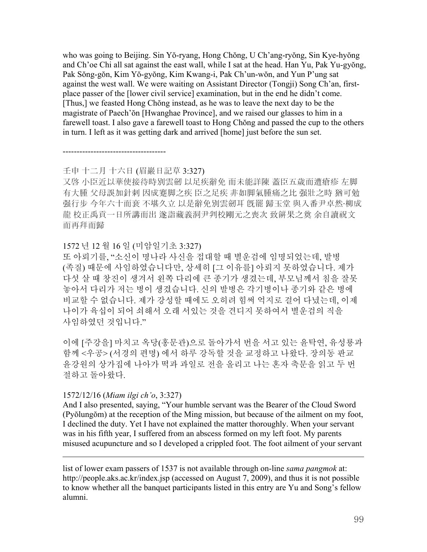who was going to Beijing. Sin Yŏ-ryang, Hong Chŏng, U Ch'ang-ryŏng, Sin Kye-hyŏng and Ch'oe Chi all sat against the east wall, while I sat at the head. Han Yu, Pak Yu-gyŏng, Pak Sŏng-gŏn, Kim Yŏ-gyŏng, Kim Kwang-i, Pak Ch'un-wŏn, and Yun P'ung sat against the west wall. We were waiting on Assistant Director (Tongji) Song Ch'an, firstplace passer of the [lower civil service] examination, but in the end he didn't come. [Thus,] we feasted Hong Chŏng instead, as he was to leave the next day to be the magistrate of Paech'ŏn [Hwanghae Province], and we raised our glasses to him in a farewell toast. I also gave a farewell toast to Hong Chŏng and passed the cup to the others in turn. I left as it was getting dark and arrived [home] just before the sun set.

### 壬申 十二月 十六日 (眉巖日記草 3:327)

-------------------------------------

又啓 小臣近以華使接待時別雲劒 以足疾辭免 而未能詳陳 蓋臣五歲而遭瘡疹 左脚 有大腫 父母誤加針刺 因成蹇脚之疾 臣之足疾 非如脚氣腫痛之比 强壯之時 猶可勉 强行步 今年六十而衰 不堪久立 以是辭免別雲劒耳 旣罷 歸玉堂 與入番尹卓然·柳成 龍 校正禹貢一日所講而出 遂詣藏義洞尹判校剛元之喪次 致餠果之奠 余自讀祝文 而再拜而歸

### 1572 년 12 월 16 일 (미암일기초 3:327)

또 아뢰기를, "소신이 명나라 사신을 접대할 때 별운검에 임명되었는데, 발병 (족질) 때문에 사임하였습니다만, 상세히 [그 이유를] 아뢰지 못하였습니다. 제가 다섯 살 때 창진이 생겨서 왼쪽 다리에 큰 종기가 생겼는데, 부모님께서 침을 잘못 놓아서 다리가 저는 병이 생겼습니다. 신의 발병은 각기병이나 종기와 같은 병에 비교할 수 없습니다. 제가 강성할 때에도 오히려 힘써 억지로 걸어 다녔는데, 이제 나이가 육십이 되어 쇠해서 오래 서있는 것을 견디지 못하여서 별운검의 직을 사임하였던 것입니다."

이에 [주강을] 마치고 옥당(홍문관)으로 돌아가서 번을 서고 있는 윤탁연, 유성룡과 함께 <우공> (서경의 편명) 에서 하루 강독할 것을 교정하고 나왔다. 장의동 판교 윤강원의 상가집에 나아가 떡과 과일로 전을 올리고 나는 혼자 축문을 읽고 두 번 절하고 돌아왔다.

### 1572/12/16 (*Miam ilgi ch'o*, 3:327)

 $\overline{a}$ 

And I also presented, saying, "Your humble servant was the Bearer of the Cloud Sword (Pyŏlungŏm) at the reception of the Ming mission, but because of the ailment on my foot, I declined the duty. Yet I have not explained the matter thoroughly. When your servant was in his fifth year, I suffered from an abscess formed on my left foot. My parents misused acupuncture and so I developed a crippled foot. The foot ailment of your servant

list of lower exam passers of 1537 is not available through on-line *sama pangmok* at: http://people.aks.ac.kr/index.jsp (accessed on August 7, 2009), and thus it is not possible to know whether all the banquet participants listed in this entry are Yu and Song's fellow alumni.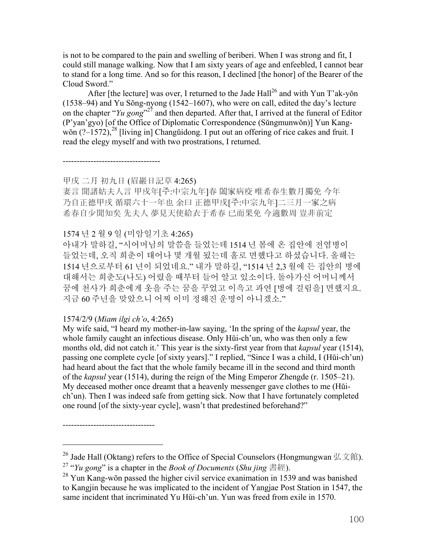is not to be compared to the pain and swelling of beriberi. When I was strong and fit, I could still manage walking. Now that I am sixty years of age and enfeebled, I cannot bear to stand for a long time. And so for this reason, I declined [the honor] of the Bearer of the Cloud Sword."

After [the lecture] was over, I returned to the Jade Hall<sup>26</sup> and with Yun T'ak-yon (1538–94) and Yu Sŏng-nyong (1542–1607), who were on call, edited the day's lecture on the chapter "*Yu gong*"<sup>27</sup> and then departed. After that, I arrived at the funeral of Editor (P'yan'gyo) [of the Office of Diplomatic Correspondence (Sŭngmunwŏn)] Yun Kangwŏn  $(2-1572)$ ,  $^{28}$  [living in] Changŭidong. I put out an offering of rice cakes and fruit. I read the elegy myself and with two prostrations, I returned.

-----------------------------------

甲戌 二月 初九日 (眉巖日記草 4:265)

妻言 聞諸姑夫人言 甲戍年[주:中宗九年]春 闔家病疫 唯希春生數月獨免 今年 乃自正德甲戌 循環六十一年也 余曰 正德甲戌[주:中宗九年]二三月一家之病 希春自少聞知矣 先夫人 夢見天使給衣于希春 已而果免 今適數周 豈非前定

# 1574 년 2 월 9 일 (미암일기초 4:265)

아내가 말하길, "시어머님의 말씀을 들었는데 1514 년 봄에 온 집안에 전염병이 들었는데, 오직 희춘이 태어나 몇 개월 됬는데 홀로 면했다고 하셨습니다. 올해는 1514 년으로부터 61 년이 되었네요." 내가 말하길, "1514 년 2,3 월에 든 집안의 병에 대해서는 희춘도(나도) 어렸을 때부터 들어 알고 있소이다. 돌아가신 어머니께서 꿈에 천사가 희춘에게 옷을 주는 꿈을 꾸었고 이윽고 과연 [병에 걸림을] 면했지요. 지금 60 주년을 맞았으니 어찌 이미 정해진 운명이 아니겠소."

### 1574/2/9 (*Miam ilgi ch'o*, 4:265)

---------------------------------

 $\overline{a}$ 

My wife said, "I heard my mother-in-law saying, 'In the spring of the *kapsul* year, the whole family caught an infectious disease. Only Hŭi-ch'un, who was then only a few months old, did not catch it.' This year is the sixty-first year from that *kapsul* year (1514), passing one complete cycle [of sixty years]." I replied, "Since I was a child, I (Hŭi-ch'un) had heard about the fact that the whole family became ill in the second and third month of the *kapsul* year (1514), during the reign of the Ming Emperor Zhengde (r. 1505–21). My deceased mother once dreamt that a heavenly messenger gave clothes to me (Hŭich'un). Then I was indeed safe from getting sick. Now that I have fortunately completed one round [of the sixty-year cycle], wasn't that predestined beforehand?"

<sup>&</sup>lt;sup>26</sup> Jade Hall (Oktang) refers to the Office of Special Counselors (Hongmungwan 弘文館).

<sup>27 &</sup>quot;*Yu gong*" is a chapter in the *Book of Documents* (*Shu jing* 書經).

 $^{28}$  Yun Kang-wŏn passed the higher civil service exanimation in 1539 and was banished to Kangjin because he was implicated to the incident of Yangjae Post Station in 1547, the same incident that incriminated Yu Hŭi-ch'un. Yun was freed from exile in 1570.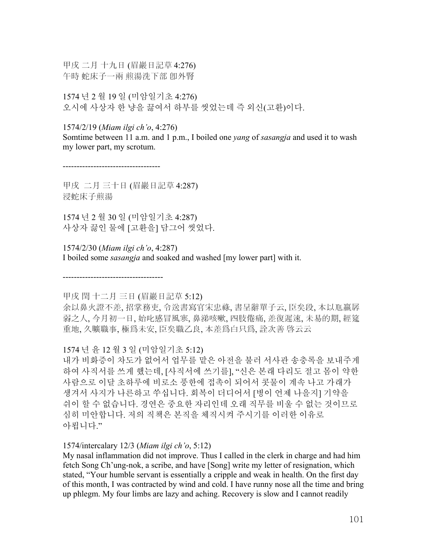甲戌 二月 十九日 (眉巖日記草 4:276) 午時 蛇床子一兩 煎湯洗下部 卽外腎

1574 년 2 월 19 일 (미암일기초 4:276) 오시에 사상자 한 냥을 끓여서 하부를 씻었는데 즉 외신(고환)이다.

### 1574/2/19 (*Miam ilgi ch'o*, 4:276)

Somtime between 11 a.m. and 1 p.m., I boiled one *yang* of *sasangja* and used it to wash my lower part, my scrotum.

-----------------------------------

甲戌 二月 三十日 (眉巖日記草 4:287) 浸蛇床子煎湯

1574 년 2 월 30 일 (미암일기초 4:287) 사상자 끓인 물에 [고환을] 담그어 씻었다.

1574/2/30 (*Miam ilgi ch'o*, 4:287) I boiled some *sasangja* and soaked and washed [my lower part] with it.

甲戌 閏 十二月 三日 (眉巖日記草 5:12)

------------------------------------

余以鼻火證不差, 招掌務吏, 令送書寫官宋忠祿, 書呈辭單子云, 臣矣段, 本以尫羸孱 弱之人, 今月初一日, 始叱感冒風寒, 鼻涕咳嗽, 四肢倦痛, 差復遲速, 未易的期, 經筵 重地, 久曠職事, 極爲未安, 臣矣職乙良, 本差爲白只爲, 詮次善 啓云云

# 1574 년 윤 12 월 3 일 (미암일기초 5:12)

내가 비화증이 차도가 없어서 업무를 맡은 아전을 불러 서사관 송충록을 보내주게 하여 사직서를 쓰게 했는데, [사직서에 쓰기를], "신은 본래 다리도 절고 몸이 약한 사람으로 이달 초하루에 비로소 풍한에 접촉이 되어서 콧물이 계속 나고 가래가 생겨서 사지가 나른하고 쑤십니다. 회복이 더디어서 [병이 언제 나을지] 기약을 쉬이 할 수 없습니다. 경연은 중요한 자리인데 오래 직무를 비울 수 없는 것이므로 심히 미안합니다. 저의 직책은 본직을 체직시켜 주시기를 이러한 이유로 아룁니다."

### 1574/intercalary 12/3 (*Miam ilgi ch'o*, 5:12)

My nasal inflammation did not improve. Thus I called in the clerk in charge and had him fetch Song Ch'ung-nok, a scribe, and have [Song] write my letter of resignation, which stated, "Your humble servant is essentially a cripple and weak in health. On the first day of this month, I was contracted by wind and cold. I have runny nose all the time and bring up phlegm. My four limbs are lazy and aching. Recovery is slow and I cannot readily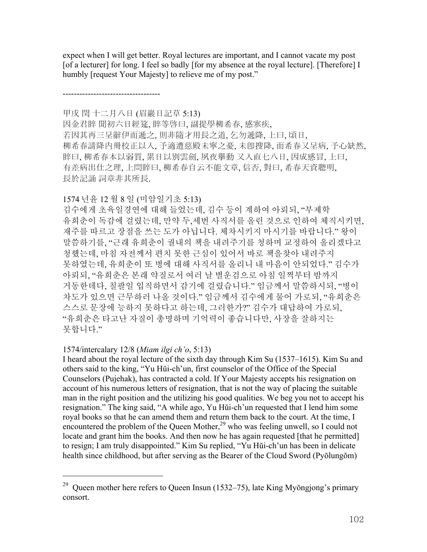expect when I will get better. Royal lectures are important, and I cannot vacate my post [of a lecturer] for long. I feel so badly [for my absence at the royal lecture]. [Therefore] I humbly [request Your Majesty] to relieve me of my post."

-----------------------------------

甲戌 閏 十二月八日 (眉巖日記草 5:13)

因金君睟 聞初六日經筵, 睟等啓曰, 副提學柳希春, 感寒疾, 若因其再三呈辭伊而遞之, 則非隨才用長之道, 乞勿遞降, 上曰, 頃日, 柳希春請降內冊校正以入, 予適遭慈殿未寧之憂, 未卽搜降, 而希春又呈病, 予心缺然, 睟曰, 柳希春本以弱質, 累日以別雲劍, 夙夜擧動 又入直七八日, 因成感冒, 上曰, 有差病出仕之理, 上問睟曰, 柳希春自云不能文章, 信否, 對曰, 希春天資聰明, 長於記誦 詞章非其所長.

1574 년윤 12 월 8 일 (미암일기초 5:13)

김수에게 초육일경연에 대해 들었는데, 김수 등이 계하여 아뢰되, "부제학 유희춘이 독감에 걸렸는데, 만약 두,세번 사직서를 올린 것으로 인하여 체직시키면, 재주를 따르고 장점을 쓰는 도가 아닙니다. 체차시키지 마시기를 바랍니다." 왕이 말씀하기를, "근래 유희춘이 궐내의 책을 내려주기를 청하며 교정하여 올리겠다고 청했는데, 마침 자전께서 편치 못한 근심이 있어서 바로 책을찾아 내려주지 못하였는데, 유희춘이 또 병에 대해 사직서를 올리니 내 마음이 안되었다." 김수가 아뢰되, "유희춘은 본래 약질로서 여러 날 별운검으로 아침 일찍부터 밤까지 거동한데다, 칠팔일 입직하면서 감기에 걸렸습니다." 임금께서 말씀하시되, "병이 차도가 있으면 근무하러 나올 것이다." 임금께서 김수에게 물어 가로되, "유희춘은 스스로 문장에 능하지 못하다고 하는데, 그러한가?" 김수가 대답하여 가로되, "유희춘은 타고난 자질이 총명하며 기억력이 좋습니다만, 사장을 잘하지는 못합니다."

### 1574/intercalary 12/8 (*Miam ilgi ch'o*, 5:13)

 $\overline{a}$ 

I heard about the royal lecture of the sixth day through Kim Su (1537–1615). Kim Su and others said to the king, "Yu Hŭi-ch'un, first counselor of the Office of the Special Counselors (Pujehak), has contracted a cold. If Your Majesty accepts his resignation on account of his numerous letters of resignation, that is not the way of placing the suitable man in the right position and the utilizing his good qualities. We beg you not to accept his resignation." The king said, "A while ago, Yu Hŭi-ch'un requested that I lend him some royal books so that he can amend them and return them back to the court. At the time, I encountered the problem of the Queen Mother, $^{29}$  who was feeling unwell, so I could not locate and grant him the books. And then now he has again requested [that he permitted] to resign; I am truly disappointed." Kim Su replied, "Yu Hŭi-ch'un has been in delicate health since childhood, but after serving as the Bearer of the Cloud Sword (Pyŏlungŏm)

<sup>&</sup>lt;sup>29</sup> Queen mother here refers to Queen Insun (1532–75), late King Myŏngjong's primary consort.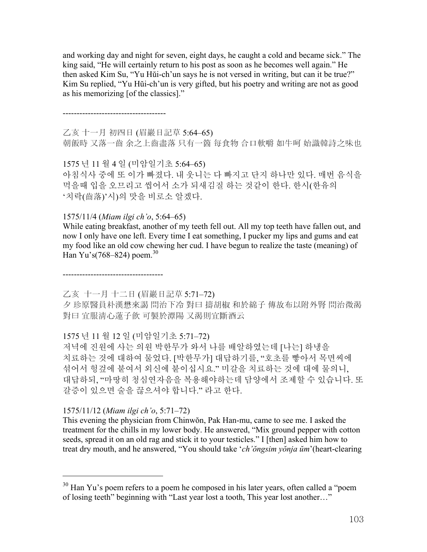and working day and night for seven, eight days, he caught a cold and became sick." The king said, "He will certainly return to his post as soon as he becomes well again." He then asked Kim Su, "Yu Hŭi-ch'un says he is not versed in writing, but can it be true?" Kim Su replied, "Yu Hŭi-ch'un is very gifted, but his poetry and writing are not as good as his memorizing [of the classics]."

-------------------------------------

乙亥 十一月 初四日 (眉巖日記草 5:64–65) 朝飯時 又落一齒 余之上齒盡落 只有一箇 每食物 合口軟嚼 如牛呵 始識韓詩之味也

1575 년 11 월 4 일 (미암일기초 5:64–65) 아침식사 중에 또 이가 빠졌다. 내 웃니는 다 빠지고 단지 하나만 있다. 매번 음식을 먹을때 입을 오므리고 씹어서 소가 되새김질 하는 것같이 한다. 한시(한유의 '치락(齒落)'시)의 맛을 비로소 알겠다.

1575/11/4 (*Miam ilgi ch'o*, 5:64–65)

While eating breakfast, another of my teeth fell out. All my top teeth have fallen out, and now I only have one left. Every time I eat something, I pucker my lips and gums and eat my food like an old cow chewing her cud. I have begun to realize the taste (meaning) of Han Yu's(768–824) poem.<sup>30</sup>

------------------------------------

乙亥 十一月 十二日 (眉巖日記草 5:71–72)

夕 珍原醫員朴漢懋來謁 問治下冷 對曰 擣胡椒 和於綿子 傳故布以附外腎 問治微渴 對曰 宜服淸心蓮子飮 可製於潭陽 又渴則宜斷酒云

1575 년 11 월 12 일 (미암일기초 5:71–72)

저녁에 진원에 사는 의원 박한무가 와서 나를 배알하였는데 [나는] 하냉을 치료하는 것에 대하여 물었다. [박한무가] 대답하기를, "호초를 빻아서 목면씨에 섞어서 헝겊에 붙여서 외신에 붙이십시요." 미갈을 치료하는 것에 대에 물의니, 대답하되, "마땅히 청심연자음을 복용해야하는데 담양에서 조제할 수 있습니다. 또 갈증이 있으면 술을 끊으셔야 합니다." 라고 한다.

1575/11/12 (*Miam ilgi ch'o*, 5:71–72)

 $\overline{a}$ 

This evening the physician from Chinwŏn, Pak Han-mu, came to see me. I asked the treatment for the chills in my lower body. He answered, "Mix ground pepper with cotton seeds, spread it on an old rag and stick it to your testicles." I [then] asked him how to treat dry mouth, and he answered, "You should take '*ch'ŏngsim yŏnja ŭm*'(heart-clearing

 $30$  Han Yu's poem refers to a poem he composed in his later vears, often called a "poem" of losing teeth" beginning with "Last year lost a tooth, This year lost another…"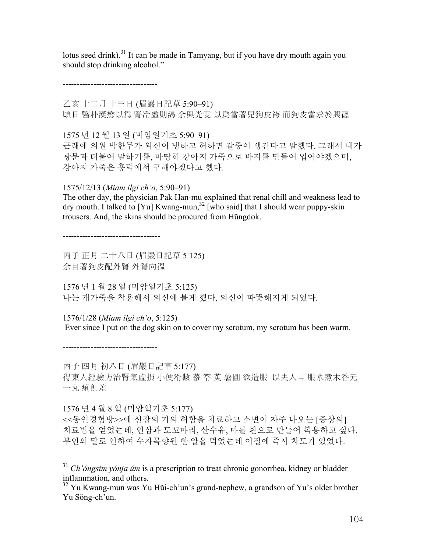lotus seed drink).<sup>31</sup> It can be made in Tamyang, but if you have dry mouth again you should stop drinking alcohol."

----------------------------------

乙亥 十二月 十三日 (眉巖日記草 5:90–91) 頃日 醫朴漢懋以爲 腎冷虛則渴 余與光雯 以爲當著兒狗皮袴 而狗皮當求於興德

1575 년 12 월 13 일 (미암일기초 5:90–91) 근래에 의원 박한무가 외신이 냉하고 허하면 갈증이 생긴다고 말했다. 그래서 내가 광문과 더불어 말하기를, 마땅히 강아지 가죽으로 바지를 만들어 입어야겠으며, 강아지 가죽은 흥덕에서 구해야겠다고 했다.

1575/12/13 (*Miam ilgi ch'o*, 5:90–91)

The other day, the physician Pak Han-mu explained that renal chill and weakness lead to dry mouth. I talked to [Yu] Kwang-mun,<sup>32</sup> [who said] that I should wear puppy-skin trousers. And, the skins should be procured from Hŭngdok.

-----------------------------------

丙子 正月 二十八日 (眉巖日記草 5:125) 余自著狗皮配外腎 外腎向溫

1576 년 1 월 28 일 (미암일기초 5:125) 나는 개가죽을 착용해서 외신에 붙게 했다. 외신이 따뜻해지게 되었다.

1576/1/28 (*Miam ilgi ch'o*, 5:125) Ever since I put on the dog skin on to cover my scrotum, my scrotum has been warm.

----------------------------------

 $\overline{a}$ 

丙子 四月 初八日 (眉巖日記草 5:177)

得東人經驗方治腎氣虛損 小便滑數 蔘 笭 萸 薯圓 欲造服 以夫人言 服水煮木香元 一丸 痢卽差

1576 년 4 월 8 일 (미암일기초 5:177)

<<동인경험방>>에 신장의 기의 허함을 치료하고 소변이 자주 나오는 [증상의] 치료법을 얻었는데, 인삼과 도꼬마리, 산수유, 마를 환으로 만들어 복용하고 싶다. 부인의 말로 인하여 수자목향원 한 알을 먹었는데 이질에 즉시 차도가 있었다.

<sup>31</sup> *Ch'ŏngsim yŏnja ŭm* is a prescription to treat chronic gonorrhea, kidney or bladder inflammation, and others.

<sup>&</sup>lt;sup>32</sup> Yu Kwang-mun was Yu Hŭi-ch'un's grand-nephew, a grandson of Yu's older brother Yu Sŏng-ch'un.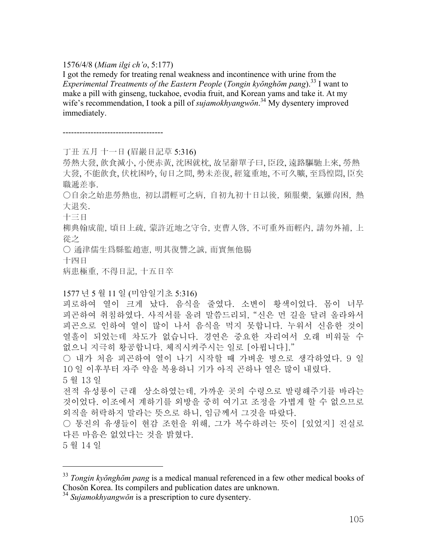#### 1576/4/8 (*Miam ilgi ch'o*, 5:177)

I got the remedy for treating renal weakness and incontinence with urine from the *Experimental Treatments of the Eastern People* (*Tongin kyŏnghŏm pang*).33 I want to make a pill with ginseng, tuckahoe, evodia fruit, and Korean yams and take it. At my wife's recommendation, I took a pill of *sujamokhyangwŏn*.<sup>34</sup> My dysentery improved immediately.

------------------------------------

丁丑 五月 十一日 (眉巖日記草 5:316)

勞熱大發, 飮食減小, 小便赤黃, 沈困就枕, 故呈辭單子曰, 臣段, 遠路驅馳上來, 勞熱 大發, 不能飮食, 伏枕困吟, 旬日之間, 勢未差復, 經筵重地, 不可久曠, 至爲惶悶, 臣矣 職遞差事.

○自余之始患勞熱也, 初以謂輕可之病, 自初九初十日以後, 頻服藥, 氣雖尙困, 熱 大退矣.

十三日

柳典翰成龍, 頃日上疏, 蒙許近地之守令, 吏曹入啓, 不可重外而輕內, 請勿外補, 上 從之

○ 通津儒生爲縣監趙憲, 明其復讐之誠, 而實無他腸

十四日

病患極重, 不得日記, 十五日卒

#### 1577 년 5 월 11 일 (미암일기초 5:316)

피로하여 열이 크게 났다. 음식을 줄였다. 소변이 황색이었다. 몸이 너무 피곤하여 취침하였다. 사직서를 올려 말씀드리되, "신은 먼 길을 달려 올라와서 피곤으로 인하여 열이 많이 나서 음식을 먹지 못합니다. 누워서 신음한 것이 열흘이 되었는데 차도가 없습니다. 경연은 중요한 자리여서 오래 비워둘 수 없으니 지극히 황공합니다. 체직시켜주시는 일로 [아룁니다]."

○ 내가 처음 피곤하여 열이 나기 시작할 때 가벼운 병으로 생각하였다. 9 일 10 일 이후부터 자주 약을 복용하니 기가 아직 곤하나 열은 많이 내렸다. 5 월 13 일

전적 유성룡이 근래 상소하였는데, 가까운 곳의 수령으로 발령해주기를 바라는 것이었다. 이조에서 계하기를 외방을 중히 여기고 조정을 가볍게 할 수 없으므로 외직을 허락하지 말라는 뜻으로 하니, 임금께서 그것을 따랐다.

○ 통진의 유생들이 현감 조헌을 위해, 그가 복수하려는 뜻이 [있었지] 진실로 다른 마음은 없었다는 것을 밝혔다.

5 월 14 일

 $\overline{a}$ 

<sup>33</sup> *Tongin kyŏnghŏm pang* is a medical manual referenced in a few other medical books of Chosŏn Korea. Its compilers and publication dates are unknown.

<sup>34</sup> *Sujamokhyangwŏn* is a prescription to cure dysentery.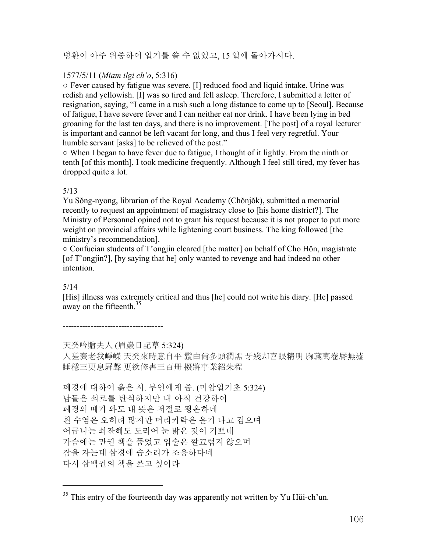# 병환이 아주 위중하여 일기를 쓸 수 없었고, 15 일에 돌아가시다.

# 1577/5/11 (*Miam ilgi ch'o*, 5:316)

○ Fever caused by fatigue was severe. [I] reduced food and liquid intake. Urine was redish and yellowish. [I] was so tired and fell asleep. Therefore, I submitted a letter of resignation, saying, "I came in a rush such a long distance to come up to [Seoul]. Because of fatigue, I have severe fever and I can neither eat nor drink. I have been lying in bed groaning for the last ten days, and there is no improvement. [The post] of a royal lecturer is important and cannot be left vacant for long, and thus I feel very regretful. Your humble servant [asks] to be relieved of the post."

○ When I began to have fever due to fatigue, I thought of it lightly. From the ninth or tenth [of this month], I took medicine frequently. Although I feel still tired, my fever has dropped quite a lot.

# 5/13

Yu Sŏng-nyong, librarian of the Royal Academy (Chŏnjŏk), submitted a memorial recently to request an appointment of magistracy close to [his home district?]. The Ministry of Personnel opined not to grant his request because it is not proper to put more weight on provincial affairs while lightening court business. The king followed [the ministry's recommendation].

○ Confucian students of T'ongjin cleared [the matter] on behalf of Cho Hŏn, magistrate [of T'ongjin?], [by saying that he] only wanted to revenge and had indeed no other intention.

# 5/14

 $\overline{a}$ 

[His] illness was extremely critical and thus [he] could not write his diary. [He] passed away on the fifteenth.<sup>35</sup>

------------------------------------

天癸吟贈夫人 (眉巖日記草 5:324)

人嗟衰老我崢嶸 天癸來時意自平 鬚白尙多頭潤黑 牙殘却喜眼精明 胸藏萬卷脣無澁 睡穩三更息屛聲 更欲修書三百冊 擬將事業紹朱程

폐경에 대하여 읊은 시. 부인에게 줌. (미암일기초 5:324) 남들은 쇠로를 탄식하지만 내 아직 건강하여 폐경의 때가 와도 내 뜻은 저절로 평온하네 흰 수염은 오히려 많지만 머리카락은 윤기 나고 검으며 어금니는 쇠잔해도 도리어 눈 밝은 것이 기쁘네 가슴에는 만권 책을 품었고 입술은 깔끄럽지 않으며 잠을 자는데 삼경에 숨소리가 조용하다네 다시 삼백권의 책을 쓰고 싶어라

 $35$  This entry of the fourteenth day was apparently not written by Yu H $\ddot{\rm{u}}$ i-ch'un.